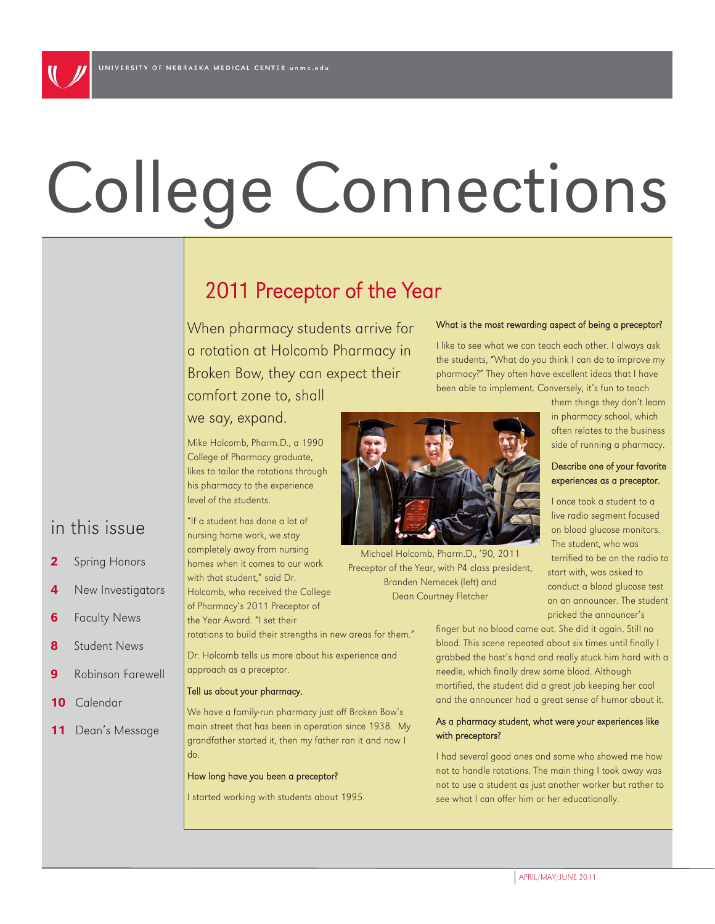# College Connections

# 2011 Preceptor of the Year

When pharmacy students arrive for a rotation at Holcomb Pharmacy in Broken Bow, they can expect their comfort zone to, shall we say, expand.

rotations to build their strengths in new areas for them." Dr. Holcomb tells us more about his experience and

We have a family-run pharmacy just off Broken Bow's main street that has been in operation since 1938. My grandfather started it, then my father ran it and now I

Mike Holcomb, Pharm.D., a 1990 College of Pharmacy graduate, likes to tailor the rotations through his pharmacy to the experience

"If a student has done a lot of nursing home work, we stay completely away from nursing homes when it comes to our work with that student," said Dr. Holcomb, who received the College of Pharmacy's 2011 Preceptor of the Year Award. "I set their

approach as a preceptor. Tell us about your pharmacy.

How long have you been a preceptor?

I started working with students about 1995.

do.

level of the students.

What is the most rewarding aspect of being a preceptor?

I like to see what we can teach each other. I always ask the students, "What do you think I can do to improve my pharmacy?" They often have excellent ideas that I have been able to implement. Conversely, it's fun to teach

> in pharmacy school, which often relates to the business side of running a pharmacy.

I once took a student to a live radio segment focused on blood glucose monitors. The student, who was terrified to be on the radio to

them things they don't learn

#### Describe one of your favorite experiences as a preceptor.

start with, was asked to conduct a blood glucose test on an announcer. The student pricked the announcer's

finger but no blood came out. She did it again. Still no blood. This scene repeated about six times until finally I grabbed the host's hand and really stuck him hard with a needle, which finally drew some blood. Although mortified, the student did a great job keeping her cool and the announcer had a great sense of humor about it.

#### As a pharmacy student, what were your experiences like with preceptors?

I had several good ones and some who showed me how not to handle rotations. The main thing I took away was not to use a student as just another worker but rather to see what I can offer him or her educationally.

## in this issue

- 2 Spring Honors
- 4 New Investigators
- **6** Faculty News
- 8 Student News
- **9** Robinson Farewell
- 10 Calendar
- **11** Dean's Message



Michael Holcomb, Pharm.D., '90, 2011 Preceptor of the Year, with P4 class president, Branden Nemecek (left) and Dean Courtney Fletcher

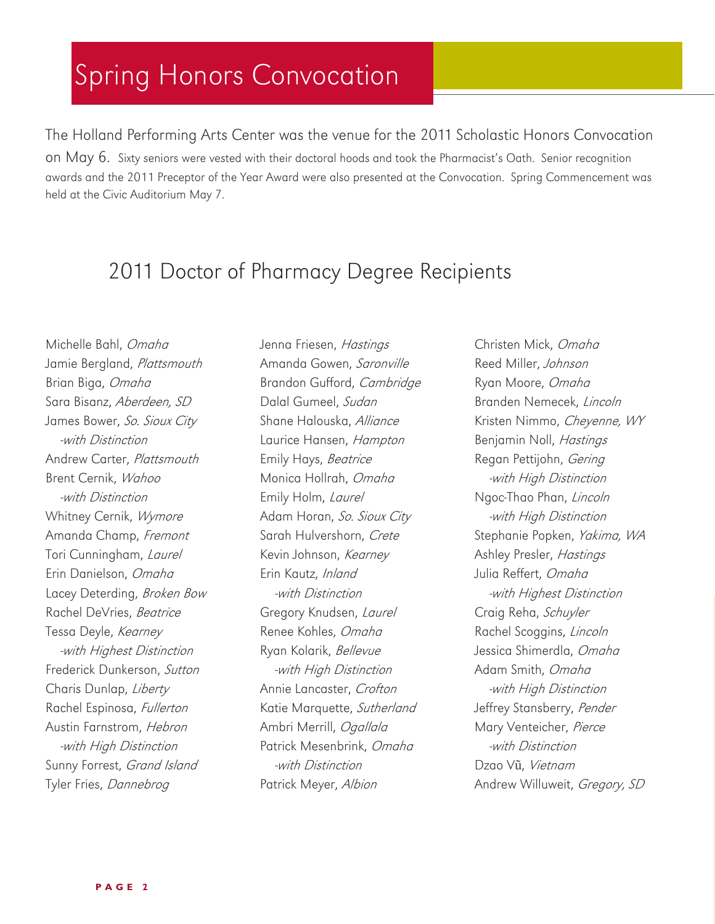# Spring Honors Convocation

The Holland Performing Arts Center was the venue for the 2011 Scholastic Honors Convocation on May 6. Sixty seniors were vested with their doctoral hoods and took the Pharmacist's Oath. Senior recognition awards and the 2011 Preceptor of the Year Award were also presented at the Convocation. Spring Commencement was held at the Civic Auditorium May 7.

# 2011 Doctor of Pharmacy Degree Recipients

Michelle Bahl, Omaha Jamie Bergland, Plattsmouth Brian Biga, Omaha Sara Bisanz, Aberdeen, SD James Bower, So. Sioux City -with Distinction Andrew Carter, Plattsmouth Brent Cernik, Wahoo -with Distinction Whitney Cernik, Wymore Amanda Champ, Fremont Tori Cunningham, Laurel Erin Danielson, Omaha Lacey Deterding, Broken Bow Rachel DeVries, Beatrice Tessa Deyle, Kearney -with Highest Distinction Frederick Dunkerson, Sutton Charis Dunlap, Liberty Rachel Espinosa, Fullerton Austin Farnstrom, Hebron -with High Distinction Sunny Forrest, Grand Island Tyler Fries, Dannebrog

Jenna Friesen, Hastings Amanda Gowen, Saronville Brandon Gufford, Cambridge Dalal Gumeel, Sudan Shane Halouska, Alliance Laurice Hansen, Hampton Emily Hays, Beatrice Monica Hollrah, Omaha Emily Holm, Laurel Adam Horan, So. Sioux City Sarah Hulvershorn, Crete Kevin Johnson, Kearney Erin Kautz, Inland -with Distinction Gregory Knudsen, Laurel Renee Kohles, Omaha Ryan Kolarik, Bellevue -with High Distinction Annie Lancaster, Crofton Katie Marquette, Sutherland Ambri Merrill, Ogallala Patrick Mesenbrink, Omaha -with Distinction Patrick Meyer, Albion

Christen Mick, Omaha Reed Miller, Johnson Ryan Moore, Omaha Branden Nemecek, Lincoln Kristen Nimmo, Cheyenne, WY Benjamin Noll, Hastings Regan Pettijohn, Gering -with High Distinction Ngoc-Thao Phan, Lincoln -with High Distinction Stephanie Popken, Yakima, WA Ashley Presler, Hastings Julia Reffert, Omaha -with Highest Distinction Craig Reha, Schuyler Rachel Scoggins, Lincoln Jessica Shimerdla, Omaha Adam Smith, Omaha -with High Distinction Jeffrey Stansberry, Pender Mary Venteicher, Pierce -with Distinction Dzao Vũ, Vietnam Andrew Willuweit, Gregory, SD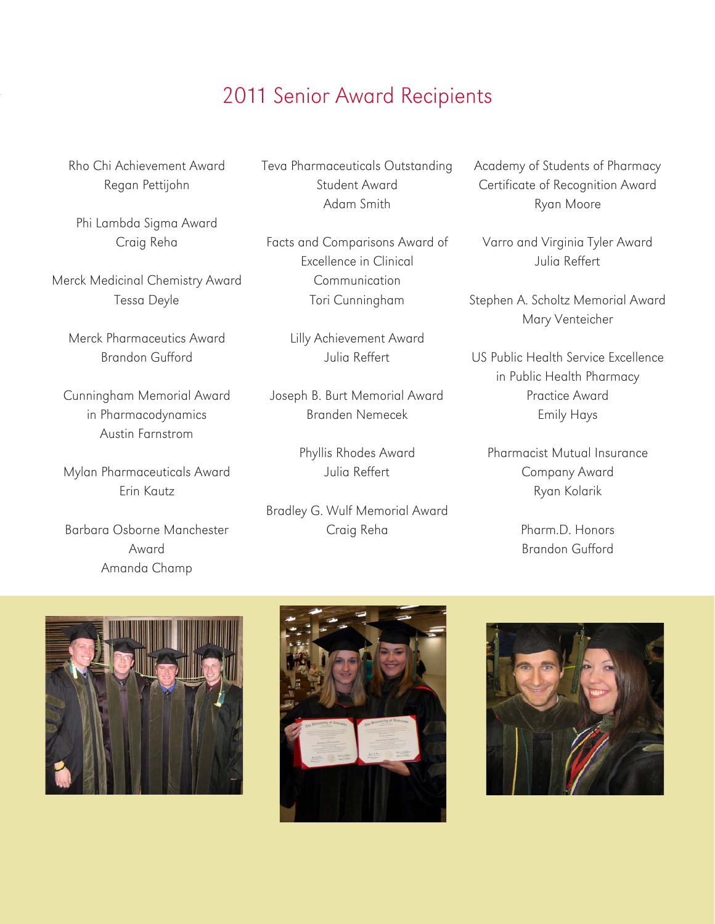# 2011 Senior Award Recipients

Rho Chi Achievement Award Regan Pettijohn

Phi Lambda Sigma Award Craig Reha

Merck Medicinal Chemistry Award Tessa Deyle

Merck Pharmaceutics Award Brandon Gufford

Cunningham Memorial Award in Pharmacodynamics Austin Farnstrom

Mylan Pharmaceuticals Award Erin Kautz

Barbara Osborne Manchester Award Amanda Champ

Teva Pharmaceuticals Outstanding Student Award Adam Smith

Facts and Comparisons Award of Excellence in Clinical Communication Tori Cunningham

> Lilly Achievement Award Julia Reffert

Joseph B. Burt Memorial Award Branden Nemecek

> Phyllis Rhodes Award Julia Reffert

Bradley G. Wulf Memorial Award Craig Reha

Academy of Students of Pharmacy Certificate of Recognition Award Ryan Moore

Varro and Virginia Tyler Award Julia Reffert

Stephen A. Scholtz Memorial Award Mary Venteicher

US Public Health Service Excellence in Public Health Pharmacy Practice Award Emily Hays

Pharmacist Mutual Insurance Company Award Ryan Kolarik

> Pharm.D. Honors Brandon Gufford





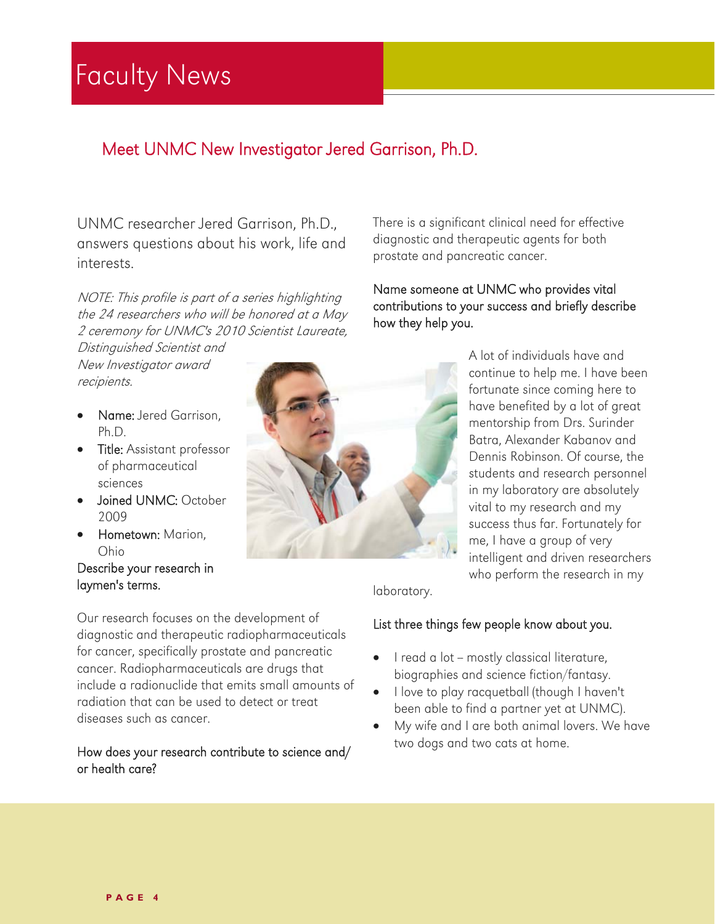# Faculty News

## Meet UNMC New Investigator Jered Garrison, Ph.D.

UNMC researcher Jered Garrison, Ph.D., answers questions about his work, life and interests.

NOTE: This profile is part of a series highlighting the 24 researchers who will be honored at a May 2 ceremony for UNMC's 2010 Scientist Laureate,

Distinguished Scientist and New Investigator award recipients.

- Name: Jered Garrison, Ph.D.
- **•** Title: Assistant professor of pharmaceutical sciences
- Joined UNMC: October 2009
- Hometown: Marion, Ohio

#### Describe your research in laymen's terms.



There is a significant clinical need for effective diagnostic and therapeutic agents for both prostate and pancreatic cancer.

#### Name someone at UNMC who provides vital contributions to your success and briefly describe how they help you.

A lot of individuals have and continue to help me. I have been fortunate since coming here to have benefited by a lot of great mentorship from Drs. Surinder Batra, Alexander Kabanov and Dennis Robinson. Of course, the students and research personnel in my laboratory are absolutely vital to my research and my success thus far. Fortunately for me, I have a group of very intelligent and driven researchers who perform the research in my

laboratory.

#### List three things few people know about you.

- I read a lot mostly classical literature, biographies and science fiction/fantasy.
- I love to play racquetball (though I haven't been able to find a partner yet at UNMC).
- My wife and I are both animal lovers. We have two dogs and two cats at home.

radiation that can be used to detect or treat diseases such as cancer.

Our research focuses on the development of diagnostic and therapeutic radiopharmaceuticals for cancer, specifically prostate and pancreatic cancer. Radiopharmaceuticals are drugs that include a radionuclide that emits small amounts of

#### How does your research contribute to science and/ or health care?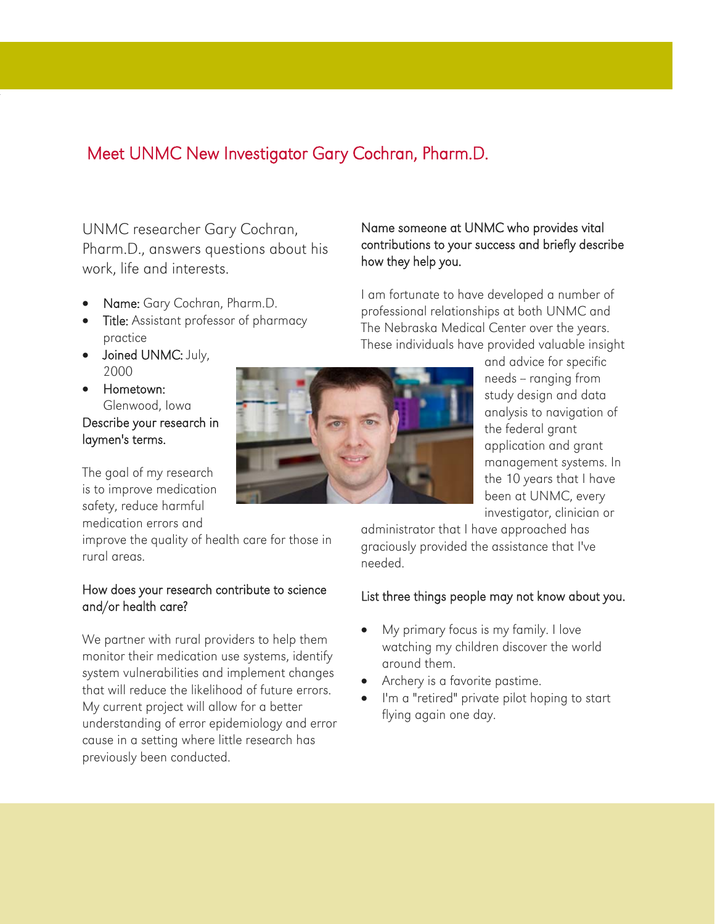## Meet UNMC New Investigator Gary Cochran, Pharm.D.

UNMC researcher Gary Cochran, Pharm.D., answers questions about his work, life and interests.

- Name: Gary Cochran, Pharm.D.
- **Title:** Assistant professor of pharmacy practice
- Joined UNMC: July, 2000
- **•** Hometown: Glenwood, Iowa

#### Describe your research in laymen's terms.

The goal of my research is to improve medication safety, reduce harmful medication errors and

improve the quality of health care for those in rural areas.

#### How does your research contribute to science and/or health care?

We partner with rural providers to help them monitor their medication use systems, identify system vulnerabilities and implement changes that will reduce the likelihood of future errors. My current project will allow for a better understanding of error epidemiology and error cause in a setting where little research has previously been conducted.



#### Name someone at UNMC who provides vital contributions to your success and briefly describe how they help you.

I am fortunate to have developed a number of professional relationships at both UNMC and The Nebraska Medical Center over the years. These individuals have provided valuable insight

> and advice for specific needs - ranging from study design and data analysis to navigation of the federal grant application and grant management systems. In the 10 years that I have been at UNMC, every investigator, clinician or

administrator that I have approached has graciously provided the assistance that I've needed.

#### List three things people may not know about you.

- My primary focus is my family. I love watching my children discover the world around them.
- Archery is a favorite pastime.
- I'm a "retired" private pilot hoping to start flying again one day.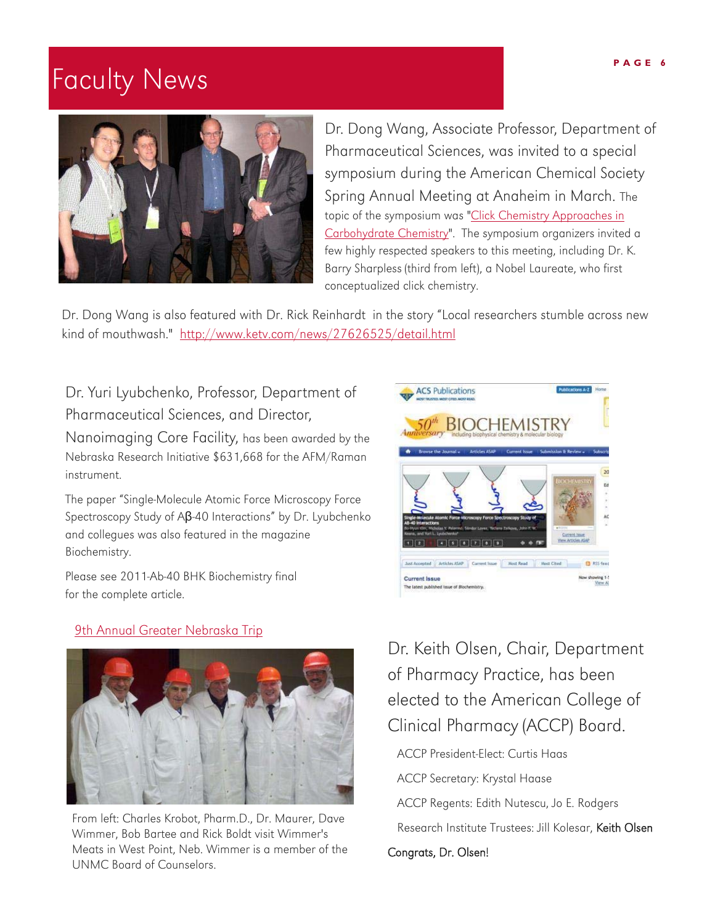# Faculty News



Dr. Dong Wang, Associate Professor, Department of Pharmaceutical Sciences, was invited to a special symposium during the American Chemical Society Spring Annual Meeting at Anaheim in March. The [topic of the symposium was "Click Chemistry Approaches in](http://www.softconference.com/ACSchem/slist.asp?C=4321#TID14666)  Carbohydrate Chemistry". The symposium organizers invited a few highly respected speakers to this meeting, including Dr. K. Barry Sharpless (third from left), a Nobel Laureate, who first conceptualized click chemistry.

Dr. Dong Wang is also featured with Dr. Rick Reinhardt in the story "Local researchers stumble across new kind of mouthwash." http://www.ketv.com/news/27626525/detail.html

Dr. Yuri Lyubchenko, Professor, Department of Pharmaceutical Sciences, and Director,

Nanoimaging Core Facility, has been awarded by the Nebraska Research Initiative \$631,668 for the AFM/Raman instrument.

The paper "Single-Molecule Atomic Force Microscopy Force Spectroscopy Study of Aβ-40 Interactions" by Dr. Lyubchenko and collegues was also featured in the magazine Biochemistry.

Please see 2011-Ab-40 BHK Biochemistry final for the complete article.





From left: Charles Krobot, Pharm.D., Dr. Maurer, Dave Wimmer, Bob Bartee and Rick Boldt visit Wimmer's Meats in West Point, Neb. Wimmer is a member of the UNMC Board of Counselors.



Dr. Keith Olsen, Chair, Department of Pharmacy Practice, has been elected to the American College of Clinical Pharmacy (ACCP) Board.

ACCP President-Elect: Curtis Haas

ACCP Secretary: Krystal Haase

ACCP Regents: Edith Nutescu, Jo E. Rodgers

Research Institute Trustees: Jill Kolesar, Keith Olsen

Congrats, Dr. Olsen!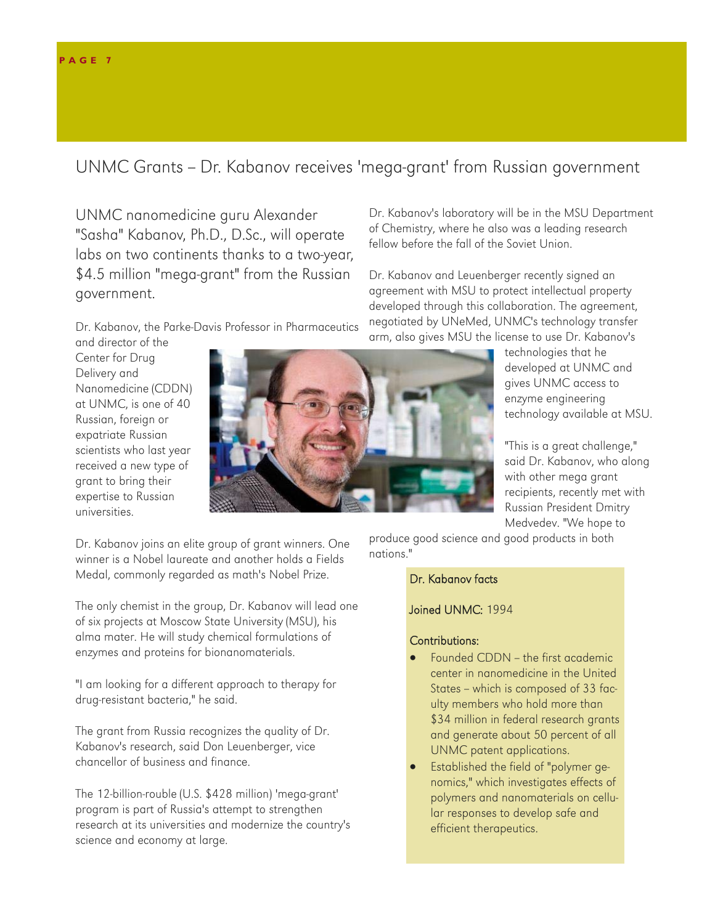#### UNMC Grants -- Dr. Kabanov receives 'mega-grant' from Russian government

UNMC nanomedicine guru Alexander "Sasha" Kabanov, Ph.D., D.Sc., will operate labs on two continents thanks to a two-year, \$4.5 million "mega-grant" from the Russian government.

Dr. Kabanov, the Parke-Davis Professor in Pharmaceutics

and director of the Center for Drug Delivery and Nanomedicine (CDDN) at UNMC, is one of 40 Russian, foreign or expatriate Russian scientists who last year received a new type of grant to bring their expertise to Russian universities.



Dr. Kabanov joins an elite group of grant winners. One winner is a Nobel laureate and another holds a Fields Medal, commonly regarded as math's Nobel Prize.

The only chemist in the group, Dr. Kabanov will lead one of six projects at Moscow State University (MSU), his alma mater. He will study chemical formulations of enzymes and proteins for bionanomaterials.

"I am looking for a different approach to therapy for drug-resistant bacteria," he said.

The grant from Russia recognizes the quality of Dr. Kabanov's research, said Don Leuenberger, vice chancellor of business and finance.

The 12-billion-rouble (U.S. \$428 million) 'mega-grant' program is part of Russia's attempt to strengthen research at its universities and modernize the country's science and economy at large.

Dr. Kabanov's laboratory will be in the MSU Department of Chemistry, where he also was a leading research fellow before the fall of the Soviet Union.

Dr. Kabanov and Leuenberger recently signed an agreement with MSU to protect intellectual property developed through this collaboration. The agreement, negotiated by UNeMed, UNMC's technology transfer arm, also gives MSU the license to use Dr. Kabanov's

technologies that he developed at UNMC and gives UNMC access to enzyme engineering technology available at MSU.

"This is a great challenge," said Dr. Kabanov, who along with other mega grant recipients, recently met with Russian President Dmitry Medvedev. "We hope to

produce good science and good products in both nations."

#### Dr. Kabanov facts

#### Joined UNMC: 1994

#### Contributions:

- Founded CDDN the first academic center in nanomedicine in the United States - which is composed of 33 faculty members who hold more than \$34 million in federal research grants and generate about 50 percent of all UNMC patent applications.
- Established the field of "polymer genomics," which investigates effects of polymers and nanomaterials on cellular responses to develop safe and efficient therapeutics.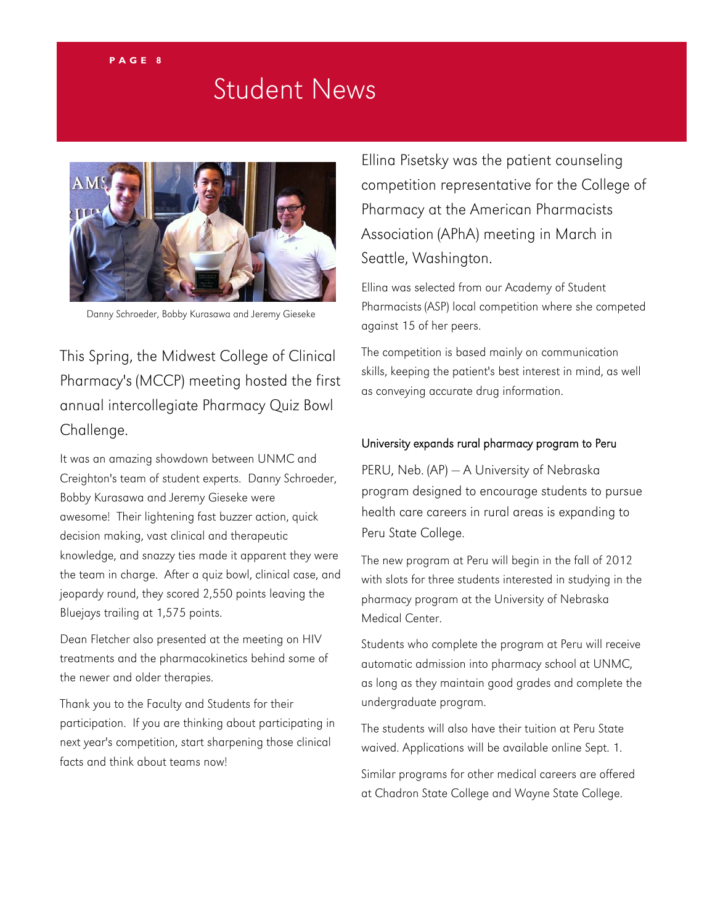# Student News



Danny Schroeder, Bobby Kurasawa and Jeremy Gieseke

This Spring, the Midwest College of Clinical Pharmacy's (MCCP) meeting hosted the first annual intercollegiate Pharmacy Quiz Bowl Challenge.

It was an amazing showdown between UNMC and Creighton's team of student experts. Danny Schroeder, Bobby Kurasawa and Jeremy Gieseke were awesome! Their lightening fast buzzer action, quick decision making, vast clinical and therapeutic knowledge, and snazzy ties made it apparent they were the team in charge. After a quiz bowl, clinical case, and jeopardy round, they scored 2,550 points leaving the Bluejays trailing at 1,575 points.

Dean Fletcher also presented at the meeting on HIV treatments and the pharmacokinetics behind some of the newer and older therapies.

Thank you to the Faculty and Students for their participation. If you are thinking about participating in next year's competition, start sharpening those clinical facts and think about teams now!

Ellina Pisetsky was the patient counseling competition representative for the College of Pharmacy at the American Pharmacists Association (APhA) meeting in March in Seattle, Washington.

Ellina was selected from our Academy of Student Pharmacists (ASP) local competition where she competed against 15 of her peers.

The competition is based mainly on communication skills, keeping the patient's best interest in mind, as well as conveying accurate drug information.

#### University expands rural pharmacy program to Peru

PERU, Neb. (AP) — A University of Nebraska program designed to encourage students to pursue health care careers in rural areas is expanding to Peru State College.

The new program at Peru will begin in the fall of 2012 with slots for three students interested in studying in the pharmacy program at the University of Nebraska Medical Center.

Students who complete the program at Peru will receive automatic admission into pharmacy school at UNMC, as long as they maintain good grades and complete the undergraduate program.

The students will also have their tuition at Peru State waived. Applications will be available online Sept. 1.

Similar programs for other medical careers are offered at Chadron State College and Wayne State College.

#### **PAGE 8**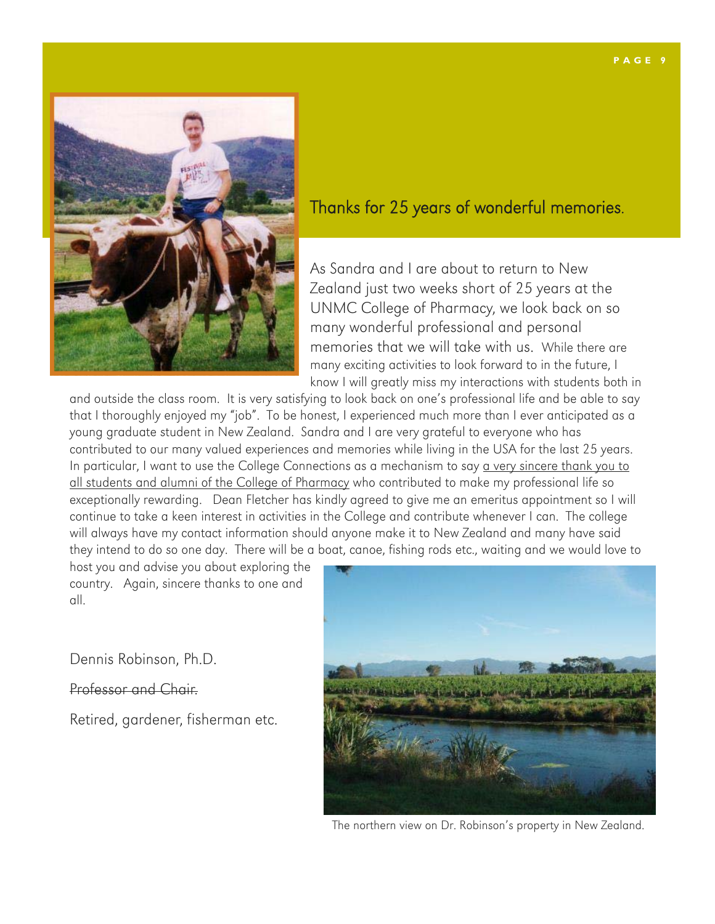

### Thanks for 25 years of wonderful memories.

As Sandra and I are about to return to New Zealand just two weeks short of 25 years at the UNMC College of Pharmacy, we look back on so many wonderful professional and personal memories that we will take with us. While there are many exciting activities to look forward to in the future, I know I will greatly miss my interactions with students both in

and outside the class room. It is very satisfying to look back on one's professional life and be able to say that I thoroughly enjoyed my "job". To be honest, I experienced much more than I ever anticipated as a young graduate student in New Zealand. Sandra and I are very grateful to everyone who has contributed to our many valued experiences and memories while living in the USA for the last 25 years. In particular, I want to use the College Connections as a mechanism to say a very sincere thank you to all students and alumni of the College of Pharmacy who contributed to make my professional life so exceptionally rewarding. Dean Fletcher has kindly agreed to give me an emeritus appointment so I will continue to take a keen interest in activities in the College and contribute whenever I can. The college will always have my contact information should anyone make it to New Zealand and many have said they intend to do so one day. There will be a boat, canoe, fishing rods etc., waiting and we would love to

host you and advise you about exploring the country. Again, sincere thanks to one and all.

Dennis Robinson, Ph.D.

Professor and Chair.

Retired, gardener, fisherman etc.



The northern view on Dr. Robinson's property in New Zealand.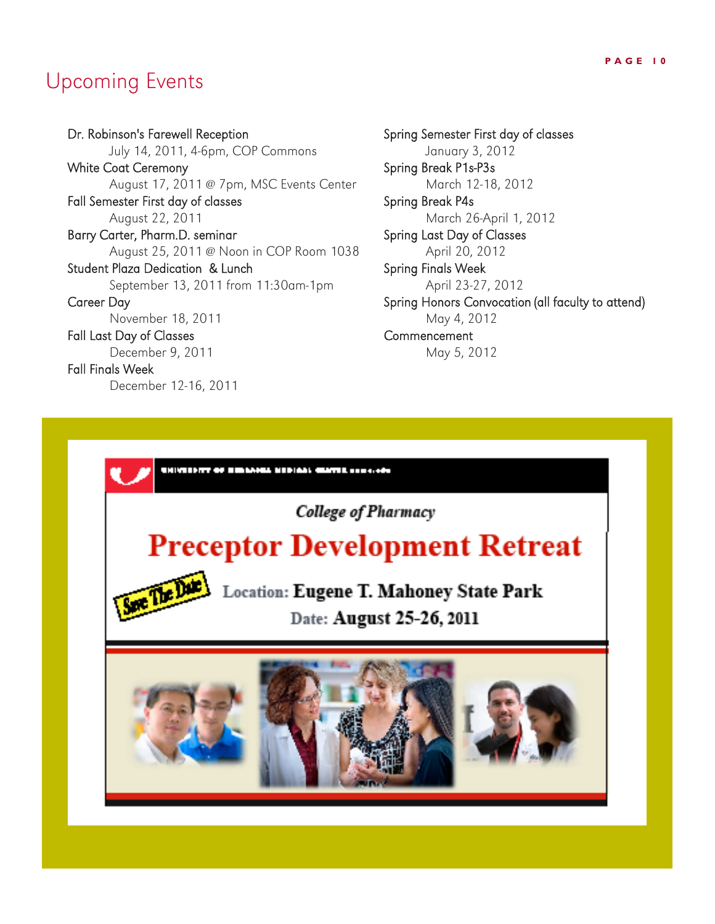# Upcoming Events

Dr. Robinson's Farewell Reception July 14, 2011, 4-6pm, COP Commons White Coat Ceremony August 17, 2011 @ 7pm, MSC Events Center Fall Semester First day of classes August 22, 2011 Barry Carter, Pharm.D. seminar August 25, 2011 @ Noon in COP Room 1038 Student Plaza Dedication & Lunch September 13, 2011 from 11:30am-1pm Career Day November 18, 2011 Fall Last Day of Classes December 9, 2011 Fall Finals Week

December 12-16, 2011

Spring Semester First day of classes January 3, 2012 Spring Break P1s-P3s March 12-18, 2012 Spring Break P4s March 26-April 1, 2012 Spring Last Day of Classes April 20, 2012 Spring Finals Week April 23-27, 2012 Spring Honors Convocation (all faculty to attend) May 4, 2012 **Commencement** May 5, 2012